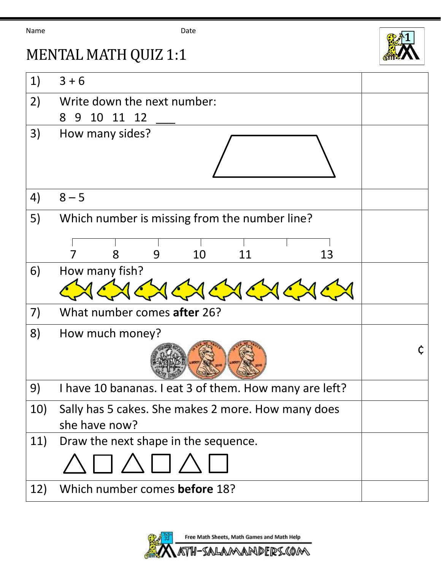Name Date



## MENTAL MATH QUIZ 1:1

| 1)  | $3 + 6$                                                |  |
|-----|--------------------------------------------------------|--|
| 2)  | Write down the next number:                            |  |
|     | 10<br>11 12<br>8<br>9                                  |  |
| 3)  | How many sides?                                        |  |
| 4)  | $8 - 5$                                                |  |
| 5)  | Which number is missing from the number line?          |  |
|     | 10<br>13<br>9<br>8<br>11                               |  |
| 6)  | How many fish?                                         |  |
| 7)  | What number comes after 26?                            |  |
| 8)  | How much money?                                        |  |
| 9)  | I have 10 bananas. I eat 3 of them. How many are left? |  |
| 10) | Sally has 5 cakes. She makes 2 more. How many does     |  |
|     | she have now?                                          |  |
| 11) | Draw the next shape in the sequence.                   |  |
|     | $\Box \land \Box \land$                                |  |
| 12) | Which number comes before 18?                          |  |